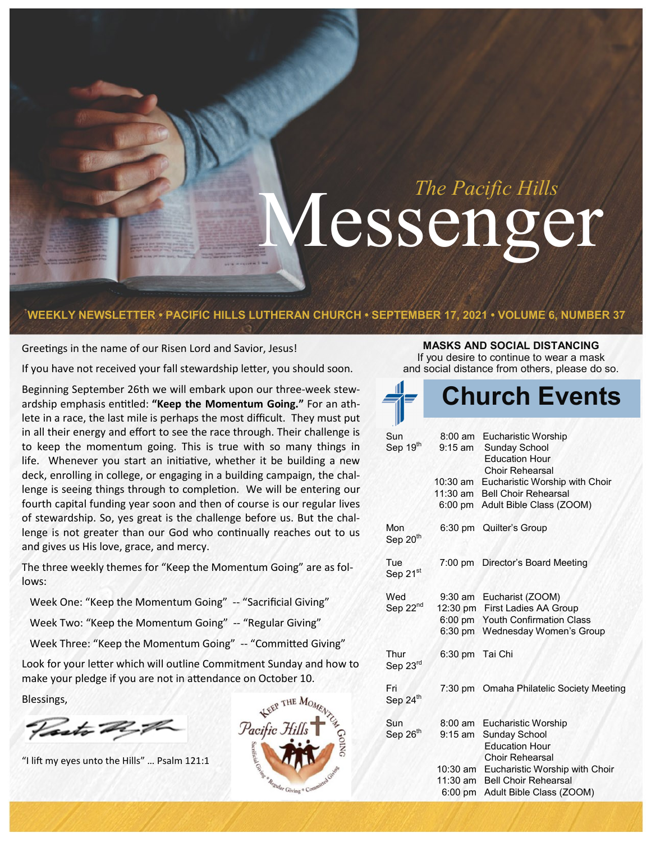# Messenger <sup>The Pacific Hills</sup>

### **WEEKLY NEWSLETTER • PACIFIC HILLS LUTHERAN CHURCH • SEPTEMBER 17, 2021 • VOLUME 6, NUMBER 37**

Greetings in the name of our Risen Lord and Savior, Jesus!

If you have not received your fall stewardship letter, you should soon.

Beginning September 26th we will embark upon our three-week stewardship emphasis entitled: **"Keep the Momentum Going."** For an athlete in a race, the last mile is perhaps the most difficult. They must put in all their energy and effort to see the race through. Their challenge is to keep the momentum going. This is true with so many things in life. Whenever you start an initiative, whether it be building a new deck, enrolling in college, or engaging in a building campaign, the challenge is seeing things through to completion. We will be entering our fourth capital funding year soon and then of course is our regular lives of stewardship. So, yes great is the challenge before us. But the challenge is not greater than our God who continually reaches out to us and gives us His love, grace, and mercy.

The three weekly themes for "Keep the Momentum Going" are as follows:

 Week One: "Keep the Momentum Going" -- "Sacrificial Giving" Week Two: "Keep the Momentum Going" -- "Regular Giving"

Week Three: "Keep the Momentum Going" -- "Committed Giving"

Look for your letter which will outline Commitment Sunday and how to make your pledge if you are not in attendance on October 10.

Blessings,

Vasto R.P.

"I lift my eyes unto the Hills" … Psalm 121:1



### **MASKS AND SOCIAL DISTANCING**

If you desire to continue to wear a mask and social distance from others, please do so.

|                             |                                     | <b>Church Events</b>                                                                                                                     |
|-----------------------------|-------------------------------------|------------------------------------------------------------------------------------------------------------------------------------------|
| Sun<br>Sep 19th             | $9:15$ am<br>$10:30$ am             | 8:00 am Eucharistic Worship<br><b>Sunday School</b><br><b>Education Hour</b><br><b>Choir Rehearsal</b><br>Eucharistic Worship with Choir |
|                             | $11:30$ am<br>$6:00 \text{ pm}$     | <b>Bell Choir Rehearsal</b><br>Adult Bible Class (ZOOM)                                                                                  |
| Mon<br>Sep 20 <sup>th</sup> |                                     | 6:30 pm Quilter's Group                                                                                                                  |
| Tue<br>Sep 21st             |                                     | 7:00 pm Director's Board Meeting                                                                                                         |
| Wed<br>Sep 22 <sup>nd</sup> | $9:30$ am<br>$6:00$ pm<br>$6:30$ pm | Eucharist (ZOOM)<br>12:30 pm First Ladies AA Group<br><b>Youth Confirmation Class</b><br>Wednesday Women's Group                         |
| Thur<br>Sep 23rd            | 6:30 pm                             | Tai Chi                                                                                                                                  |
| Fri<br>Sep 24th             |                                     | 7:30 pm Omaha Philatelic Society Meeting                                                                                                 |
| Sun<br>Sep 26th             | $8:00 \text{ am}$<br>$9:15$ am      | Eucharistic Worship<br><b>Sunday School</b><br><b>Education Hour</b><br><b>Choir Rehearsal</b>                                           |
|                             | 10:30 am<br>11:30 am<br>6:00 pm     | Eucharistic Worship with Choir<br><b>Bell Choir Rehearsal</b><br>Adult Bible Class (ZOOM)                                                |